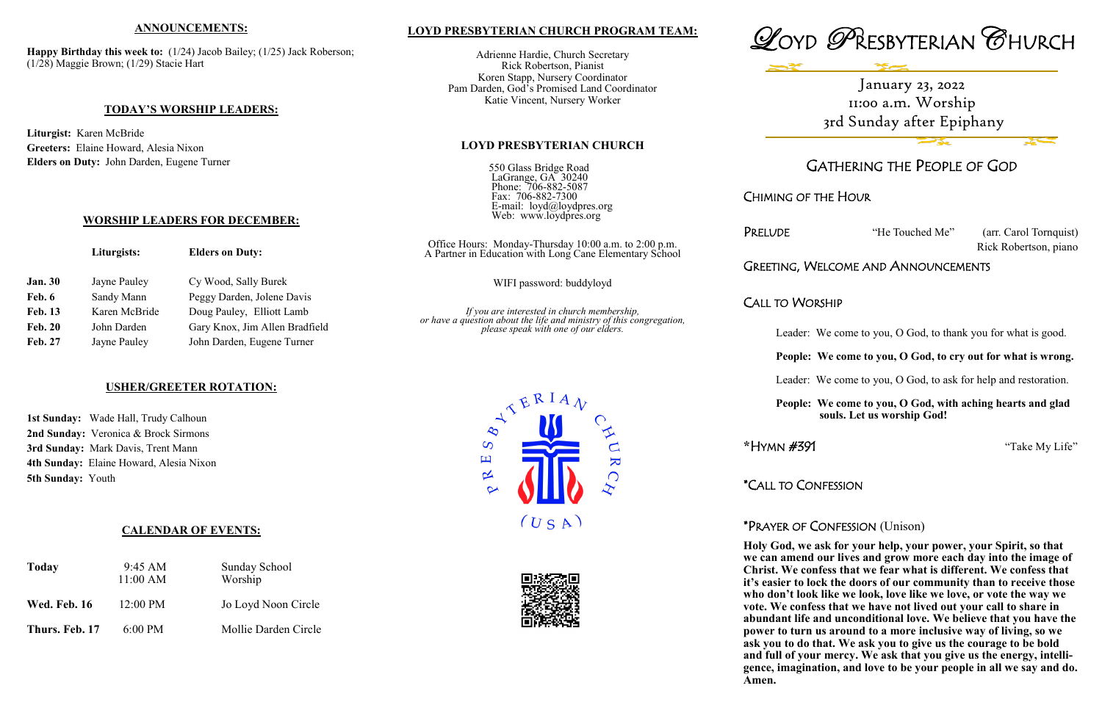## **LOYD PRESBYTERIAN CHURCH PROGRAM TEAM:**

Adrienne Hardie, Church Secretary Rick Robertson, Pianist Koren Stapp, Nursery Coordinator Pam Darden, God's Promised Land Coordinator Katie Vincent, Nursery Worker

## **LOYD PRESBYTERIAN CHURCH**

550 Glass Bridge Road LaGrange, GA 30240 Phone: 706-882-5087 Fax: 706-882-7300 E-mail: loyd@loydpres.org Web: www.loydpres.org

PRELUDE "He Touched Me" (arr. Carol Tornquist) Rick Robertson, piano

# IG, WELCOME AND ANNOUNCEMENTS

## WORSHIP

- ader: We come to you, O God, to thank you for what is good.
- **People: We come to you, O God, to cry out for what is wrong.**
- Leader: We come to you, O God, to ask for help and restoration.
- **People: We come to you, O God, with aching hearts and glad souls. Let us worship God!**



# GATHERING THE PEOPLE OF GOD

CHIMING OF THE HOUR

**Happy Birthday this week to:** (1/24) Jacob Bailey; (1/25) Jack Roberson; (1/28) Maggie Brown; (1/29) Stacie Hart

**\***HYMN #391 "Take My Life"

\*CALL TO CONFESSION

# \*PRAYER OF CONFESSION (Unison)

|                | Liturgists:   | <b>Elders on Duty:</b>         | Office Hours: Monday-Thursday 10:00 a.m. to 2:00 p.m.<br>A Partner in Education with Long Cane Elementary School    | . <i>.</i> .<br>Greeting |
|----------------|---------------|--------------------------------|---------------------------------------------------------------------------------------------------------------------|--------------------------|
| <b>Jan. 30</b> | Jayne Pauley  | Cy Wood, Sally Burek           | WIFI password: buddyloyd                                                                                            |                          |
| Feb. 6         | Sandy Mann    | Peggy Darden, Jolene Davis     |                                                                                                                     | CALL TO                  |
| <b>Feb. 13</b> | Karen McBride | Doug Pauley, Elliott Lamb      | If you are interested in church membership,<br>or have a question about the life and ministry of this congregation, |                          |
| <b>Feb. 20</b> | John Darden   | Gary Knox, Jim Allen Bradfield | please speak with one of our elders.                                                                                | Leε                      |
| <b>Feb. 27</b> | Jayne Pauley  | John Darden, Eugene Turner     |                                                                                                                     |                          |
|                |               |                                |                                                                                                                     | D <sub>oc</sub>          |

 **Holy God, we ask for your help, your power, your Spirit, so that we can amend our lives and grow more each day into the image of Christ. We confess that we fear what is different. We confess that it's easier to lock the doors of our community than to receive those who don't look like we look, love like we love, or vote the way we vote. We confess that we have not lived out your call to share in abundant life and unconditional love. We believe that you have the power to turn us around to a more inclusive way of living, so we ask you to do that. We ask you to give us the courage to be bold and full of your mercy. We ask that you give us the energy, intelligence, imagination, and love to be your people in all we say and do. Amen.**





## **ANNOUNCEMENTS:**

#### **TODAY'S WORSHIP LEADERS:**

**Liturgist:** Karen McBride **Greeters:** Elaine Howard, Alesia Nixon **Elders on Duty:** John Darden, Eugene Turner

### **WORSHIP LEADERS FOR DECEMBER:**

## **USHER/GREETER ROTATION:**

**1st Sunday:** Wade Hall, Trudy Calhoun **2nd Sunday:** Veronica & Brock Sirmons **3rd Sunday:** Mark Davis, Trent Mann **4th Sunday:** Elaine Howard, Alesia Nixon **5th Sunday:** Youth

## **CALENDAR OF EVENTS:**

| <b>Today</b>        | $9:45 \text{ AM}$<br>11:00 AM | <b>Sunday School</b><br>Worship |
|---------------------|-------------------------------|---------------------------------|
| <b>Wed. Feb. 16</b> | $12:00 \text{ PM}$            | Jo Loyd Noon Circle             |
| Thurs. Feb. 17      | $6:00 \text{ PM}$             | Mollie Darden Circle            |

# January 23, 2022 11:00 a.m. Worship 3rd Sunday after Epiphany